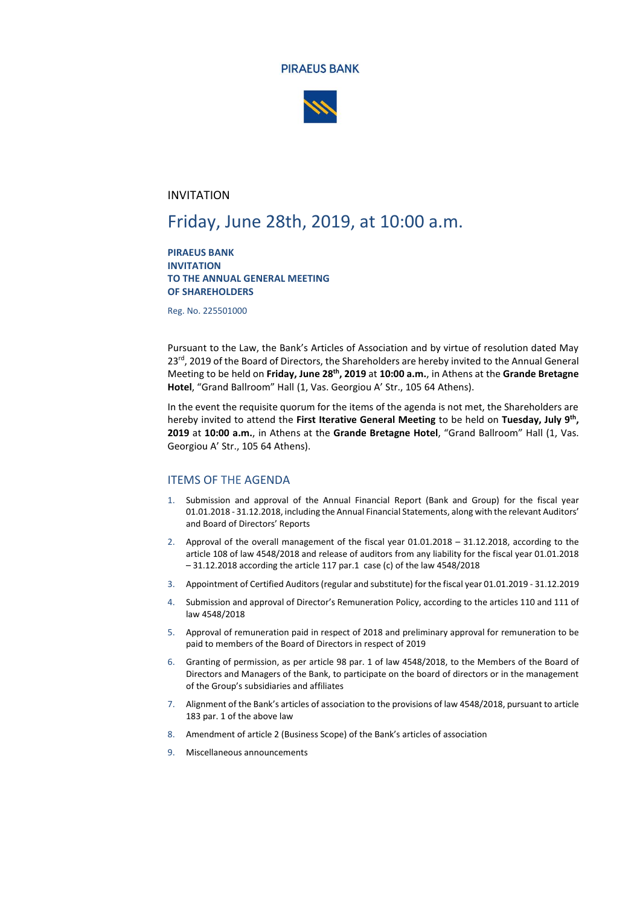



### INVITATION

# Friday, June 28th, 2019, at 10:00 a.m.

**PIRAEUS BANK INVITATION TO THE ANNUAL GENERAL MEETING OF SHAREHOLDERS**

Reg. No. 225501000

Pursuant to the Law, the Bank's Articles of Association and by virtue of resolution dated May 23<sup>rd</sup>, 2019 of the Board of Directors, the Shareholders are hereby invited to the Annual General Meeting to be held on **Friday, June 28 th, 2019** at **10:00 a.m.**, in Athens at the **Grande Bretagne Hotel**, "Grand Ballroom" Hall (1, Vas. Georgiou A' Str., 105 64 Athens).

In the event the requisite quorum for the items of the agenda is not met, the Shareholders are hereby invited to attend the **First Iterative General Meeting** to be held on **Tuesday, July 9 th , 2019** at **10:00 a.m.**, in Athens at the **Grande Bretagne Hotel**, "Grand Ballroom" Hall (1, Vas. Georgiou A' Str., 105 64 Athens).

### ITEMS OF THE AGENDA

- 1. Submission and approval of the Annual Financial Report (Bank and Group) for the fiscal year 01.01.2018 - 31.12.2018, including the Annual Financial Statements, along with the relevant Auditors' and Board of Directors' Reports
- 2. Approval of the overall management of the fiscal year 01.01.2018 31.12.2018, according to the article 108 of law 4548/2018 and release of auditors from any liability for the fiscal year 01.01.2018 – 31.12.2018 according the article 117 par.1 case (c) of the law 4548/2018
- 3. Appointment of Certified Auditors(regular and substitute) for the fiscal year 01.01.2019 31.12.2019
- 4. Submission and approval of Director's Remuneration Policy, according to the articles 110 and 111 of law 4548/2018
- 5. Approval of remuneration paid in respect of 2018 and preliminary approval for remuneration to be paid to members of the Board of Directors in respect of 2019
- 6. Granting of permission, as per article 98 par. 1 of law 4548/2018, to the Members of the Board of Directors and Managers of the Bank, to participate on the board of directors or in the management of the Group's subsidiaries and affiliates
- 7. Alignment of the Bank's articles of association to the provisions of law 4548/2018, pursuant to article 183 par. 1 of the above law
- 8. Amendment of article 2 (Business Scope) of the Bank's articles of association
- 9. Miscellaneous announcements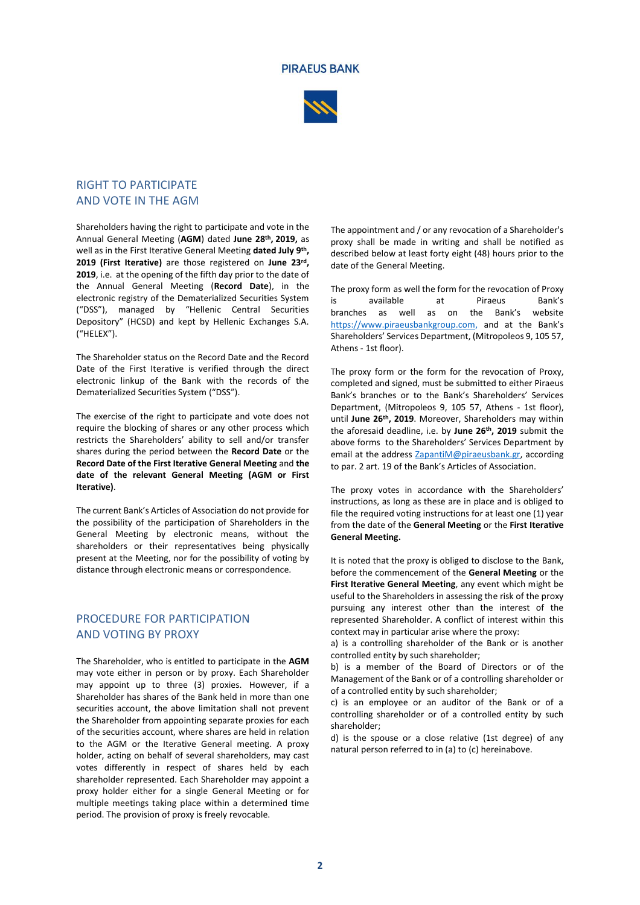#### **PIRAEUS BANK**



# RIGHT TO PARTICIPATE AND VOTE IN THE AGM

Shareholders having the right to participate and vote in the Annual General Meeting (**AGM**) dated **June 28 th , 2019,** as well as in the First Iterative General Meeting **dated July 9th , 2019 (First Iterative)** are those registered on **June 23 rd , 2019**, i.e. at the opening of the fifth day prior to the date of the Annual General Meeting (**Record Date**), in the electronic registry of the Dematerialized Securities System ("DSS"), managed by "Hellenic Central Securities Depository" (HCSD) and kept by Hellenic Exchanges S.A. ("HELEX").

The Shareholder status on the Record Date and the Record Date of the First Iterative is verified through the direct electronic linkup of the Bank with the records of the Dematerialized Securities System ("DSS").

The exercise of the right to participate and vote does not require the blocking of shares or any other process which restricts the Shareholders' ability to sell and/or transfer shares during the period between the **Record Date** or the **Record Date of the First Iterative General Meeting** and **the date of the relevant General Meeting (AGM or First Iterative)**.

The current Bank's Articles of Association do not provide for the possibility of the participation of Shareholders in the General Meeting by electronic means, without the shareholders or their representatives being physically present at the Meeting, nor for the possibility of voting by distance through electronic means or correspondence.

## PROCEDURE FOR PARTICIPATION AND VOTING BY PROXY

The Shareholder, who is entitled to participate in the **AGM** may vote either in person or by proxy. Each Shareholder may appoint up to three (3) proxies. However, if a Shareholder has shares of the Bank held in more than one securities account, the above limitation shall not prevent the Shareholder from appointing separate proxies for each of the securities account, where shares are held in relation to the AGM or the Iterative General meeting. A proxy holder, acting on behalf of several shareholders, may cast votes differently in respect of shares held by each shareholder represented. Each Shareholder may appoint a proxy holder either for a single General Meeting or for multiple meetings taking place within a determined time period. The provision of proxy is freely revocable.

The appointment and / or any revocation of a Shareholder's proxy shall be made in writing and shall be notified as described below at least forty eight (48) hours prior to the date of the General Meeting.

The proxy form as well the form for the revocation of Proxy is available at Piraeus Bank's branches as well as on the Bank's website https://www.piraeusbankgroup.com, and at the Bank's Shareholders' Services Department, (Mitropoleos 9, 105 57, Athens - 1st floor).

The proxy form or the form for the revocation of Proxy, completed and signed, must be submitted to either Piraeus Bank's branches or to the Bank's Shareholders' Services Department, (Mitropoleos 9, 105 57, Athens - 1st floor), until **June 26 th, 2019**. Moreover, Shareholders may within the aforesaid deadline, i.e. by **June 26 th, 2019** submit the above forms to the Shareholders' Services Department by email at the address [ZapantiM@piraeusbank.gr,](mailto:ZapantiM@piraeusbank.gr) according to par. 2 art. 19 of the Bank's Articles of Association.

The proxy votes in accordance with the Shareholders' instructions, as long as these are in place and is obliged to file the required voting instructions for at least one (1) year from the date of the **General Meeting** or the **First Iterative General Meeting.**

It is noted that the proxy is obliged to disclose to the Bank, before the commencement of the **General Meeting** or the **First Iterative General Meeting**, any event which might be useful to the Shareholders in assessing the risk of the proxy pursuing any interest other than the interest of the represented Shareholder. A conflict of interest within this context may in particular arise where the proxy:

a) is a controlling shareholder of the Bank or is another controlled entity by such shareholder;

b) is a member of the Board of Directors or of the Management of the Bank or of a controlling shareholder or of a controlled entity by such shareholder;

c) is an employee or an auditor of the Bank or of a controlling shareholder or of a controlled entity by such shareholder;

d) is the spouse or a close relative (1st degree) of any natural person referred to in (a) to (c) hereinabove.